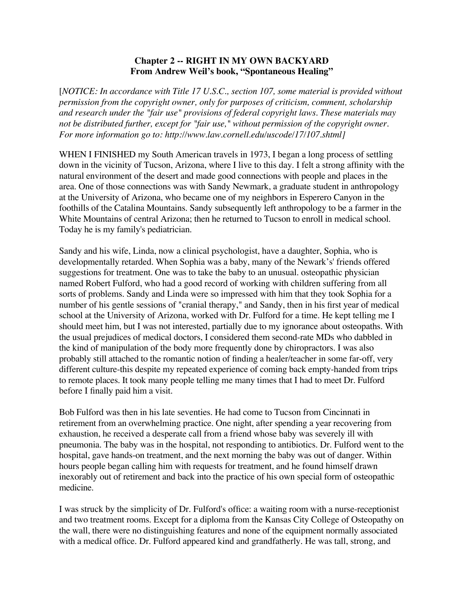## **Chapter 2 -- RIGHT IN MY OWN BACKYARD From Andrew Weil's book, "Spontaneous Healing"**

[*NOTICE: In accordance with Title 17 U.S.C., section 107, some material is provided without permission from the copyright owner, only for purposes of criticism, comment, scholarship and research under the "fair use" provisions of federal copyright laws. These materials may not be distributed further, except for "fair use," without permission of the copyright owner. For more information go to: http://www.law.cornell.edu/uscode/17/107.shtml]*

WHEN I FINISHED my South American travels in 1973, I began a long process of settling down in the vicinity of Tucson, Arizona, where I live to this day. I felt a strong affinity with the natural environment of the desert and made good connections with people and places in the area. One of those connections was with Sandy Newmark, a graduate student in anthropology at the University of Arizona, who became one of my neighbors in Esperero Canyon in the foothills of the Catalina Mountains. Sandy subsequently left anthropology to be a farmer in the White Mountains of central Arizona; then he returned to Tucson to enroll in medical school. Today he is my family's pediatrician.

Sandy and his wife, Linda, now a clinical psychologist, have a daughter, Sophia, who is developmentally retarded. When Sophia was a baby, many of the Newark's' friends offered suggestions for treatment. One was to take the baby to an unusual. osteopathic physician named Robert Fulford, who had a good record of working with children suffering from all sorts of problems. Sandy and Linda were so impressed with him that they took Sophia for a number of his gentle sessions of "cranial therapy," and Sandy, then in his first year of medical school at the University of Arizona, worked with Dr. Fulford for a time. He kept telling me I should meet him, but I was not interested, partially due to my ignorance about osteopaths. With the usual prejudices of medical doctors, I considered them second-rate MDs who dabbled in the kind of manipulation of the body more frequently done by chiropractors. I was also probably still attached to the romantic notion of finding a healer/teacher in some far-off, very different culture-this despite my repeated experience of coming back empty-handed from trips to remote places. It took many people telling me many times that I had to meet Dr. Fulford before I finally paid him a visit.

Bob Fulford was then in his late seventies. He had come to Tucson from Cincinnati in retirement from an overwhelming practice. One night, after spending a year recovering from exhaustion, he received a desperate call from a friend whose baby was severely ill with pneumonia. The baby was in the hospital, not responding to antibiotics. Dr. Fulford went to the hospital, gave hands-on treatment, and the next morning the baby was out of danger. Within hours people began calling him with requests for treatment, and he found himself drawn inexorably out of retirement and back into the practice of his own special form of osteopathic medicine.

I was struck by the simplicity of Dr. Fulford's office: a waiting room with a nurse-receptionist and two treatment rooms. Except for a diploma from the Kansas City College of Osteopathy on the wall, there were no distinguishing features and none of the equipment normally associated with a medical office. Dr. Fulford appeared kind and grandfatherly. He was tall, strong, and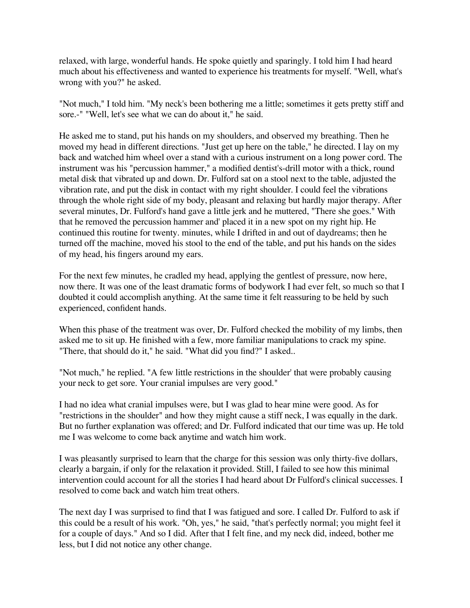relaxed, with large, wonderful hands. He spoke quietly and sparingly. I told him I had heard much about his effectiveness and wanted to experience his treatments for myself. "Well, what's wrong with you?" he asked.

"Not much," I told him. "My neck's been bothering me a little; sometimes it gets pretty stiff and sore.-" "Well, let's see what we can do about it," he said.

He asked me to stand, put his hands on my shoulders, and observed my breathing. Then he moved my head in different directions. "Just get up here on the table," he directed. I lay on my back and watched him wheel over a stand with a curious instrument on a long power cord. The instrument was his "percussion hammer," a modified dentist's-drill motor with a thick, round metal disk that vibrated up and down. Dr. Fulford sat on a stool next to the table, adjusted the vibration rate, and put the disk in contact with my right shoulder. I could feel the vibrations through the whole right side of my body, pleasant and relaxing but hardly major therapy. After several minutes, Dr. Fulford's hand gave a little jerk and he muttered, "There she goes." With that he removed the percussion hammer and' placed it in a new spot on my right hip. He continued this routine for twenty. minutes, while I drifted in and out of daydreams; then he turned off the machine, moved his stool to the end of the table, and put his hands on the sides of my head, his fingers around my ears.

For the next few minutes, he cradled my head, applying the gentlest of pressure, now here, now there. It was one of the least dramatic forms of bodywork I had ever felt, so much so that I doubted it could accomplish anything. At the same time it felt reassuring to be held by such experienced, confident hands.

When this phase of the treatment was over, Dr. Fulford checked the mobility of my limbs, then asked me to sit up. He finished with a few, more familiar manipulations to crack my spine. "There, that should do it," he said. "What did you find?" I asked..

"Not much," he replied. "A few little restrictions in the shoulder' that were probably causing your neck to get sore. Your cranial impulses are very good."

I had no idea what cranial impulses were, but I was glad to hear mine were good. As for "restrictions in the shoulder" and how they might cause a stiff neck, I was equally in the dark. But no further explanation was offered; and Dr. Fulford indicated that our time was up. He told me I was welcome to come back anytime and watch him work.

I was pleasantly surprised to learn that the charge for this session was only thirty-five dollars, clearly a bargain, if only for the relaxation it provided. Still, I failed to see how this minimal intervention could account for all the stories I had heard about Dr Fulford's clinical successes. I resolved to come back and watch him treat others.

The next day I was surprised to find that I was fatigued and sore. I called Dr. Fulford to ask if this could be a result of his work. "Oh, yes," he said, "that's perfectly normal; you might feel it for a couple of days." And so I did. After that I felt fine, and my neck did, indeed, bother me less, but I did not notice any other change.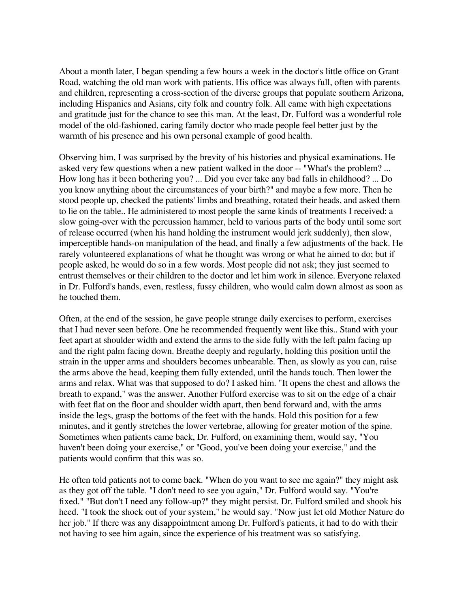About a month later, I began spending a few hours a week in the doctor's little office on Grant Road, watching the old man work with patients. His office was always full, often with parents and children, representing a cross-section of the diverse groups that populate southern Arizona, including Hispanics and Asians, city folk and country folk. All came with high expectations and gratitude just for the chance to see this man. At the least, Dr. Fulford was a wonderful role model of the old-fashioned, caring family doctor who made people feel better just by the warmth of his presence and his own personal example of good health.

Observing him, I was surprised by the brevity of his histories and physical examinations. He asked very few questions when a new patient walked in the door -- "What's the problem? ... How long has it been bothering you? ... Did you ever take any bad falls in childhood? ... Do you know anything about the circumstances of your birth?" and maybe a few more. Then he stood people up, checked the patients' limbs and breathing, rotated their heads, and asked them to lie on the table.. He administered to most people the same kinds of treatments I received: a slow going-over with the percussion hammer, held to various parts of the body until some sort of release occurred (when his hand holding the instrument would jerk suddenly), then slow, imperceptible hands-on manipulation of the head, and finally a few adjustments of the back. He rarely volunteered explanations of what he thought was wrong or what he aimed to do; but if people asked, he would do so in a few words. Most people did not ask; they just seemed to entrust themselves or their children to the doctor and let him work in silence. Everyone relaxed in Dr. Fulford's hands, even, restless, fussy children, who would calm down almost as soon as he touched them.

Often, at the end of the session, he gave people strange daily exercises to perform, exercises that I had never seen before. One he recommended frequently went like this.. Stand with your feet apart at shoulder width and extend the arms to the side fully with the left palm facing up and the right palm facing down. Breathe deeply and regularly, holding this position until the strain in the upper arms and shoulders becomes unbearable. Then, as slowly as you can, raise the arms above the head, keeping them fully extended, until the hands touch. Then lower the arms and relax. What was that supposed to do? I asked him. "It opens the chest and allows the breath to expand," was the answer. Another Fulford exercise was to sit on the edge of a chair with feet flat on the floor and shoulder width apart, then bend forward and, with the arms inside the legs, grasp the bottoms of the feet with the hands. Hold this position for a few minutes, and it gently stretches the lower vertebrae, allowing for greater motion of the spine. Sometimes when patients came back, Dr. Fulford, on examining them, would say, "You haven't been doing your exercise," or "Good, you've been doing your exercise," and the patients would confirm that this was so.

He often told patients not to come back. "When do you want to see me again?" they might ask as they got off the table. "I don't need to see you again," Dr. Fulford would say. "You're fixed." "But don't I need any follow-up?" they might persist. Dr. Fulford smiled and shook his heed. "I took the shock out of your system," he would say. "Now just let old Mother Nature do her job." If there was any disappointment among Dr. Fulford's patients, it had to do with their not having to see him again, since the experience of his treatment was so satisfying.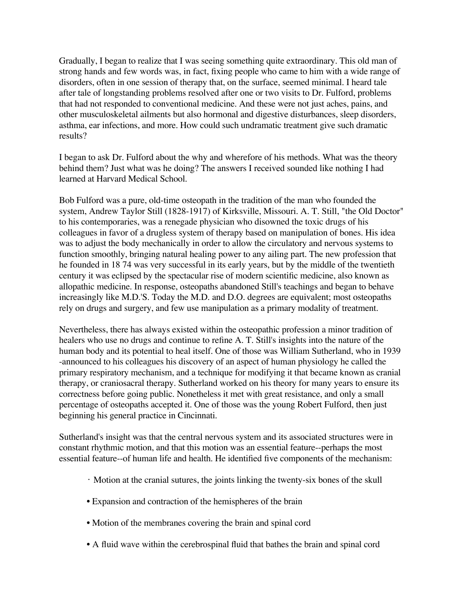Gradually, I began to realize that I was seeing something quite extraordinary. This old man of strong hands and few words was, in fact, fixing people who came to him with a wide range of disorders, often in one session of therapy that, on the surface, seemed minimal. I heard tale after tale of longstanding problems resolved after one or two visits to Dr. Fulford, problems that had not responded to conventional medicine. And these were not just aches, pains, and other musculoskeletal ailments but also hormonal and digestive disturbances, sleep disorders, asthma, ear infections, and more. How could such undramatic treatment give such dramatic results?

I began to ask Dr. Fulford about the why and wherefore of his methods. What was the theory behind them? Just what was he doing? The answers I received sounded like nothing I had learned at Harvard Medical School.

Bob Fulford was a pure, old-time osteopath in the tradition of the man who founded the system, Andrew Taylor Still (1828-1917) of Kirksville, Missouri. A. T. Still, "the Old Doctor" to his contemporaries, was a renegade physician who disowned the toxic drugs of his colleagues in favor of a drugless system of therapy based on manipulation of bones. His idea was to adjust the body mechanically in order to allow the circulatory and nervous systems to function smoothly, bringing natural healing power to any ailing part. The new profession that he founded in 18 74 was very successful in its early years, but by the middle of the twentieth century it was eclipsed by the spectacular rise of modern scientific medicine, also known as allopathic medicine. In response, osteopaths abandoned Still's teachings and began to behave increasingly like M.D.'S. Today the M.D. and D.O. degrees are equivalent; most osteopaths rely on drugs and surgery, and few use manipulation as a primary modality of treatment.

Nevertheless, there has always existed within the osteopathic profession a minor tradition of healers who use no drugs and continue to refine A. T. Still's insights into the nature of the human body and its potential to heal itself. One of those was William Sutherland, who in 1939 -announced to his colleagues his discovery of an aspect of human physiology he called the primary respiratory mechanism, and a technique for modifying it that became known as cranial therapy, or craniosacral therapy. Sutherland worked on his theory for many years to ensure its correctness before going public. Nonetheless it met with great resistance, and only a small percentage of osteopaths accepted it. One of those was the young Robert Fulford, then just beginning his general practice in Cincinnati.

Sutherland's insight was that the central nervous system and its associated structures were in constant rhythmic motion, and that this motion was an essential feature--perhaps the most essential feature--of human life and health. He identified five components of the mechanism:

- Motion at the cranial sutures, the joints linking the twenty-six bones of the skull
- Expansion and contraction of the hemispheres of the brain
- Motion of the membranes covering the brain and spinal cord
- A fluid wave within the cerebrospinal fluid that bathes the brain and spinal cord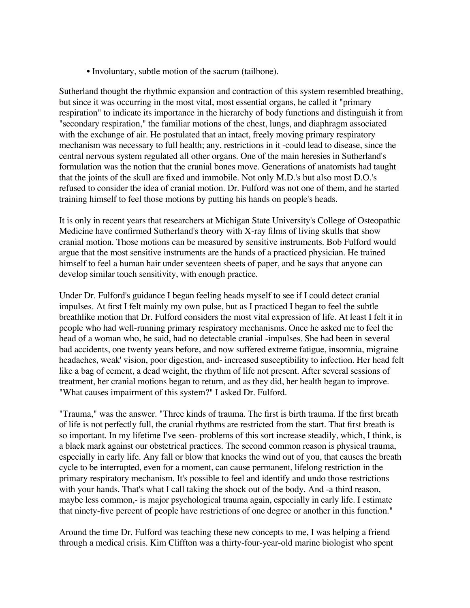• Involuntary, subtle motion of the sacrum (tailbone).

Sutherland thought the rhythmic expansion and contraction of this system resembled breathing, but since it was occurring in the most vital, most essential organs, he called it "primary respiration" to indicate its importance in the hierarchy of body functions and distinguish it from "secondary respiration," the familiar motions of the chest, lungs, and diaphragm associated with the exchange of air. He postulated that an intact, freely moving primary respiratory mechanism was necessary to full health; any, restrictions in it -could lead to disease, since the central nervous system regulated all other organs. One of the main heresies in Sutherland's formulation was the notion that the cranial bones move. Generations of anatomists had taught that the joints of the skull are fixed and immobile. Not only M.D.'s but also most D.O.'s refused to consider the idea of cranial motion. Dr. Fulford was not one of them, and he started training himself to feel those motions by putting his hands on people's heads.

It is only in recent years that researchers at Michigan State University's College of Osteopathic Medicine have confirmed Sutherland's theory with X-ray films of living skulls that show cranial motion. Those motions can be measured by sensitive instruments. Bob Fulford would argue that the most sensitive instruments are the hands of a practiced physician. He trained himself to feel a human hair under seventeen sheets of paper, and he says that anyone can develop similar touch sensitivity, with enough practice.

Under Dr. Fulford's guidance I began feeling heads myself to see if I could detect cranial impulses. At first I felt mainly my own pulse, but as I practiced I began to feel the subtle breathlike motion that Dr. Fulford considers the most vital expression of life. At least I felt it in people who had well-running primary respiratory mechanisms. Once he asked me to feel the head of a woman who, he said, had no detectable cranial -impulses. She had been in several bad accidents, one twenty years before, and now suffered extreme fatigue, insomnia, migraine headaches, weak' vision, poor digestion, and- increased susceptibility to infection. Her head felt like a bag of cement, a dead weight, the rhythm of life not present. After several sessions of treatment, her cranial motions began to return, and as they did, her health began to improve. "What causes impairment of this system?" I asked Dr. Fulford.

"Trauma," was the answer. "Three kinds of trauma. The first is birth trauma. If the first breath of life is not perfectly full, the cranial rhythms are restricted from the start. That first breath is so important. In my lifetime I've seen- problems of this sort increase steadily, which, I think, is a black mark against our obstetrical practices. The second common reason is physical trauma, especially in early life. Any fall or blow that knocks the wind out of you, that causes the breath cycle to be interrupted, even for a moment, can cause permanent, lifelong restriction in the primary respiratory mechanism. It's possible to feel and identify and undo those restrictions with your hands. That's what I call taking the shock out of the body. And -a third reason, maybe less common,- is major psychological trauma again, especially in early life. I estimate that ninety-five percent of people have restrictions of one degree or another in this function."

Around the time Dr. Fulford was teaching these new concepts to me, I was helping a friend through a medical crisis. Kim Cliffton was a thirty-four-year-old marine biologist who spent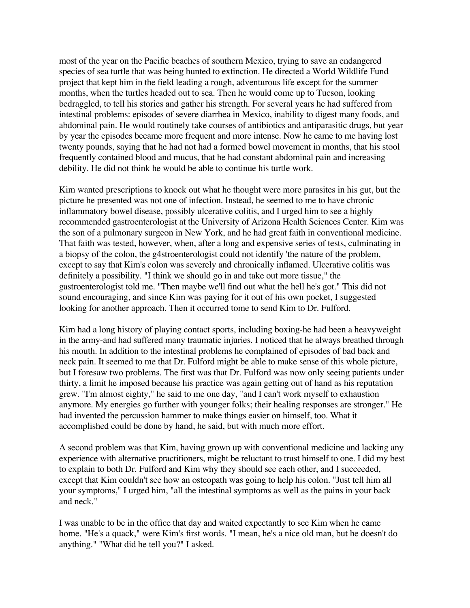most of the year on the Pacific beaches of southern Mexico, trying to save an endangered species of sea turtle that was being hunted to extinction. He directed a World Wildlife Fund project that kept him in the field leading a rough, adventurous life except for the summer months, when the turtles headed out to sea. Then he would come up to Tucson, looking bedraggled, to tell his stories and gather his strength. For several years he had suffered from intestinal problems: episodes of severe diarrhea in Mexico, inability to digest many foods, and abdominal pain. He would routinely take courses of antibiotics and antiparasitic drugs, but year by year the episodes became more frequent and more intense. Now he came to me having lost twenty pounds, saying that he had not had a formed bowel movement in months, that his stool frequently contained blood and mucus, that he had constant abdominal pain and increasing debility. He did not think he would be able to continue his turtle work.

Kim wanted prescriptions to knock out what he thought were more parasites in his gut, but the picture he presented was not one of infection. Instead, he seemed to me to have chronic inflammatory bowel disease, possibly ulcerative colitis, and I urged him to see a highly recommended gastroenterologist at the University of Arizona Health Sciences Center. Kim was the son of a pulmonary surgeon in New York, and he had great faith in conventional medicine. That faith was tested, however, when, after a long and expensive series of tests, culminating in a biopsy of the colon, the g4stroenterologist could not identify 'the nature of the problem, except to say that Kim's colon was severely and chronically inflamed. Ulcerative colitis was definitely a possibility. "I think we should go in and take out more tissue," the gastroenterologist told me. "Then maybe we'll find out what the hell he's got." This did not sound encouraging, and since Kim was paying for it out of his own pocket, I suggested looking for another approach. Then it occurred tome to send Kim to Dr. Fulford.

Kim had a long history of playing contact sports, including boxing-he had been a heavyweight in the army-and had suffered many traumatic injuries. I noticed that he always breathed through his mouth. In addition to the intestinal problems he complained of episodes of bad back and neck pain. It seemed to me that Dr. Fulford might be able to make sense of this whole picture, but I foresaw two problems. The first was that Dr. Fulford was now only seeing patients under thirty, a limit he imposed because his practice was again getting out of hand as his reputation grew. "I'm almost eighty," he said to me one day, "and I can't work myself to exhaustion anymore. My energies go further with younger folks; their healing responses are stronger." He had invented the percussion hammer to make things easier on himself, too. What it accomplished could be done by hand, he said, but with much more effort.

A second problem was that Kim, having grown up with conventional medicine and lacking any experience with alternative practitioners, might be reluctant to trust himself to one. I did my best to explain to both Dr. Fulford and Kim why they should see each other, and I succeeded, except that Kim couldn't see how an osteopath was going to help his colon. "Just tell him all your symptoms," I urged him, "all the intestinal symptoms as well as the pains in your back and neck."

I was unable to be in the office that day and waited expectantly to see Kim when he came home. "He's a quack," were Kim's first words. "I mean, he's a nice old man, but he doesn't do anything." "What did he tell you?" I asked.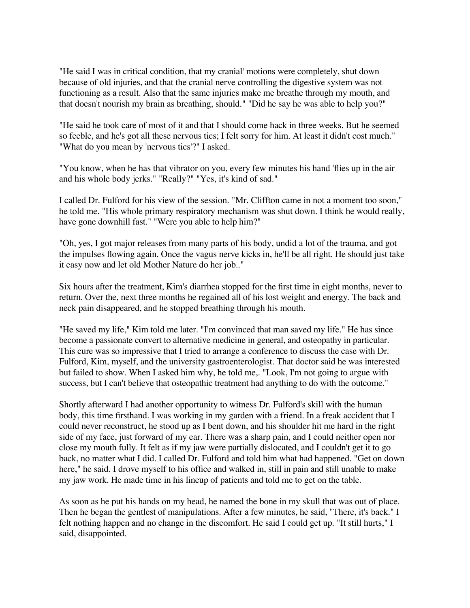"He said I was in critical condition, that my cranial' motions were completely, shut down because of old injuries, and that the cranial nerve controlling the digestive system was not functioning as a result. Also that the same injuries make me breathe through my mouth, and that doesn't nourish my brain as breathing, should." "Did he say he was able to help you?"

"He said he took care of most of it and that I should come hack in three weeks. But he seemed so feeble, and he's got all these nervous tics; I felt sorry for him. At least it didn't cost much." "What do you mean by 'nervous tics'?" I asked.

"You know, when he has that vibrator on you, every few minutes his hand 'flies up in the air and his whole body jerks." "Really?" "Yes, it's kind of sad."

I called Dr. Fulford for his view of the session. "Mr. Cliffton came in not a moment too soon," he told me. "His whole primary respiratory mechanism was shut down. I think he would really, have gone downhill fast." "Were you able to help him?"

"Oh, yes, I got major releases from many parts of his body, undid a lot of the trauma, and got the impulses flowing again. Once the vagus nerve kicks in, he'll be all right. He should just take it easy now and let old Mother Nature do her job.."

Six hours after the treatment, Kim's diarrhea stopped for the first time in eight months, never to return. Over the, next three months he regained all of his lost weight and energy. The back and neck pain disappeared, and he stopped breathing through his mouth.

"He saved my life," Kim told me later. "I'm convinced that man saved my life." He has since become a passionate convert to alternative medicine in general, and osteopathy in particular. This cure was so impressive that I tried to arrange a conference to discuss the case with Dr. Fulford, Kim, myself, and the university gastroenterologist. That doctor said he was interested but failed to show. When I asked him why, he told me,. "Look, I'm not going to argue with success, but I can't believe that osteopathic treatment had anything to do with the outcome."

Shortly afterward I had another opportunity to witness Dr. Fulford's skill with the human body, this time firsthand. I was working in my garden with a friend. In a freak accident that I could never reconstruct, he stood up as I bent down, and his shoulder hit me hard in the right side of my face, just forward of my ear. There was a sharp pain, and I could neither open nor close my mouth fully. It felt as if my jaw were partially dislocated, and I couldn't get it to go back, no matter what I did. I called Dr. Fulford and told him what had happened. "Get on down here," he said. I drove myself to his office and walked in, still in pain and still unable to make my jaw work. He made time in his lineup of patients and told me to get on the table.

As soon as he put his hands on my head, he named the bone in my skull that was out of place. Then he began the gentlest of manipulations. After a few minutes, he said, "There, it's back." I felt nothing happen and no change in the discomfort. He said I could get up. "It still hurts," I said, disappointed.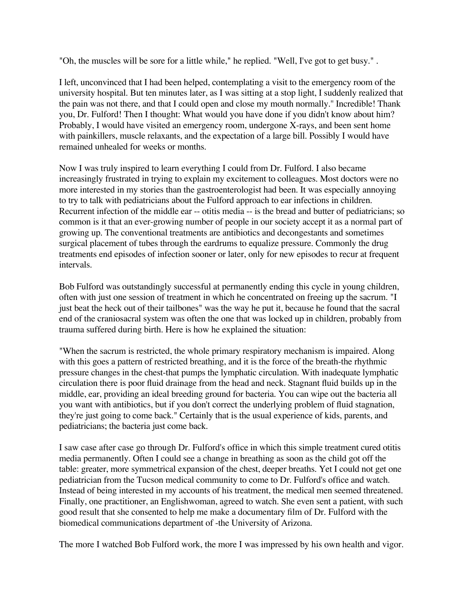"Oh, the muscles will be sore for a little while," he replied. "Well, I've got to get busy." .

I left, unconvinced that I had been helped, contemplating a visit to the emergency room of the university hospital. But ten minutes later, as I was sitting at a stop light, I suddenly realized that the pain was not there, and that I could open and close my mouth normally.'' Incredible! Thank you, Dr. Fulford! Then I thought: What would you have done if you didn't know about him? Probably, I would have visited an emergency room, undergone X-rays, and been sent home with painkillers, muscle relaxants, and the expectation of a large bill. Possibly I would have remained unhealed for weeks or months.

Now I was truly inspired to learn everything I could from Dr. Fulford. I also became increasingly frustrated in trying to explain my excitement to colleagues. Most doctors were no more interested in my stories than the gastroenterologist had been. It was especially annoying to try to talk with pediatricians about the Fulford approach to ear infections in children. Recurrent infection of the middle ear -- otitis media -- is the bread and butter of pediatricians; so common is it that an ever-growing number of people in our society accept it as a normal part of growing up. The conventional treatments are antibiotics and decongestants and sometimes surgical placement of tubes through the eardrums to equalize pressure. Commonly the drug treatments end episodes of infection sooner or later, only for new episodes to recur at frequent intervals.

Bob Fulford was outstandingly successful at permanently ending this cycle in young children, often with just one session of treatment in which he concentrated on freeing up the sacrum. "I just beat the heck out of their tailbones" was the way he put it, because he found that the sacral end of the craniosacral system was often the one that was locked up in children, probably from trauma suffered during birth. Here is how he explained the situation:

"When the sacrum is restricted, the whole primary respiratory mechanism is impaired. Along with this goes a pattern of restricted breathing, and it is the force of the breath-the rhythmic pressure changes in the chest-that pumps the lymphatic circulation. With inadequate lymphatic circulation there is poor fluid drainage from the head and neck. Stagnant fluid builds up in the middle, ear, providing an ideal breeding ground for bacteria. You can wipe out the bacteria all you want with antibiotics, but if you don't correct the underlying problem of fluid stagnation, they're just going to come back." Certainly that is the usual experience of kids, parents, and pediatricians; the bacteria just come back.

I saw case after case go through Dr. Fulford's office in which this simple treatment cured otitis media permanently. Often I could see a change in breathing as soon as the child got off the table: greater, more symmetrical expansion of the chest, deeper breaths. Yet I could not get one pediatrician from the Tucson medical community to come to Dr. Fulford's office and watch. Instead of being interested in my accounts of his treatment, the medical men seemed threatened. Finally, one practitioner, an Englishwoman, agreed to watch. She even sent a patient, with such good result that she consented to help me make a documentary film of Dr. Fulford with the biomedical communications department of -the University of Arizona.

The more I watched Bob Fulford work, the more I was impressed by his own health and vigor.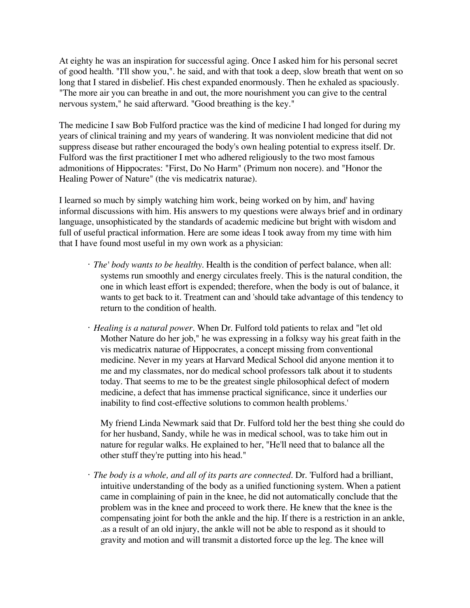At eighty he was an inspiration for successful aging. Once I asked him for his personal secret of good health. "I'll show you,". he said, and with that took a deep, slow breath that went on so long that I stared in disbelief. His chest expanded enormously. Then he exhaled as spaciously. "The more air you can breathe in and out, the more nourishment you can give to the central nervous system," he said afterward. "Good breathing is the key."

The medicine I saw Bob Fulford practice was the kind of medicine I had longed for during my years of clinical training and my years of wandering. It was nonviolent medicine that did not suppress disease but rather encouraged the body's own healing potential to express itself. Dr. Fulford was the first practitioner I met who adhered religiously to the two most famous admonitions of Hippocrates: "First, Do No Harm" (Primum non nocere). and "Honor the Healing Power of Nature" (the vis medicatrix naturae).

I learned so much by simply watching him work, being worked on by him, and' having informal discussions with him. His answers to my questions were always brief and in ordinary language, unsophisticated by the standards of academic medicine but bright with wisdom and full of useful practical information. Here are some ideas I took away from my time with him that I have found most useful in my own work as a physician:

- • *The' body wants to be healthy.* Health is the condition of perfect balance, when all: systems run smoothly and energy circulates freely. This is the natural condition, the one in which least effort is expended; therefore, when the body is out of balance, it wants to get back to it. Treatment can and 'should take advantage of this tendency to return to the condition of health.
- *Healing is a natural power.* When Dr. Fulford told patients to relax and "let old Mother Nature do her job," he was expressing in a folksy way his great faith in the vis medicatrix naturae of Hippocrates, a concept missing from conventional medicine. Never in my years at Harvard Medical School did anyone mention it to me and my classmates, nor do medical school professors talk about it to students today. That seems to me to be the greatest single philosophical defect of modern medicine, a defect that has immense practical significance, since it underlies our inability to find cost-effective solutions to common health problems.'

My friend Linda Newmark said that Dr. Fulford told her the best thing she could do for her husband, Sandy, while he was in medical school, was to take him out in nature for regular walks. He explained to her, "He'll need that to balance all the other stuff they're putting into his head."

• *The body is a whole, and all of its parts are connected.* Dr. 'Fulford had a brilliant, intuitive understanding of the body as a unified functioning system. When a patient came in complaining of pain in the knee, he did not automatically conclude that the problem was in the knee and proceed to work there. He knew that the knee is the compensating joint for both the ankle and the hip. If there is a restriction in an ankle, .as a result of an old injury, the ankle will not be able to respond as it should to gravity and motion and will transmit a distorted force up the leg. The knee will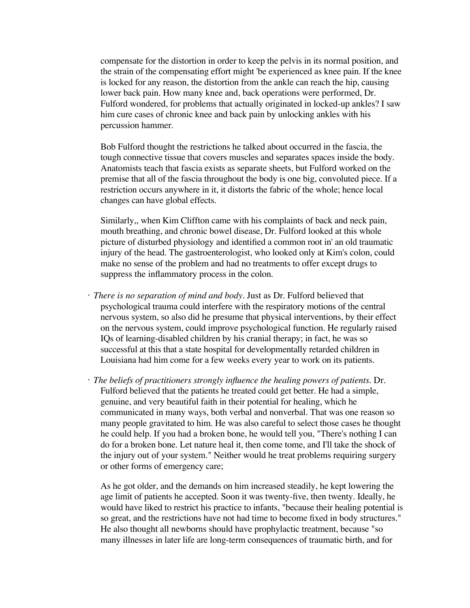compensate for the distortion in order to keep the pelvis in its normal position, and the strain of the compensating effort might 'be experienced as knee pain. If the knee is locked for any reason, the distortion from the ankle can reach the hip, causing lower back pain. How many knee and, back operations were performed, Dr. Fulford wondered, for problems that actually originated in locked-up ankles? I saw him cure cases of chronic knee and back pain by unlocking ankles with his percussion hammer.

Bob Fulford thought the restrictions he talked about occurred in the fascia, the tough connective tissue that covers muscles and separates spaces inside the body. Anatomists teach that fascia exists as separate sheets, but Fulford worked on the premise that all of the fascia throughout the body is one big, convoluted piece. If a restriction occurs anywhere in it, it distorts the fabric of the whole; hence local changes can have global effects.

Similarly,, when Kim Cliffton came with his complaints of back and neck pain, mouth breathing, and chronic bowel disease, Dr. Fulford looked at this whole picture of disturbed physiology and identified a common root in' an old traumatic injury of the head. The gastroenterologist, who looked only at Kim's colon, could make no sense of the problem and had no treatments to offer except drugs to suppress the inflammatory process in the colon.

- • *There is no separation of mind and body.* Just as Dr. Fulford believed that psychological trauma could interfere with the respiratory motions of the central nervous system, so also did he presume that physical interventions, by their effect on the nervous system, could improve psychological function. He regularly raised IQs of learning-disabled children by his cranial therapy; in fact, he was so successful at this that a state hospital for developmentally retarded children in Louisiana had him come for a few weeks every year to work on its patients.
- • *The beliefs of practitioners strongly influence the healing powers of patients.* Dr. Fulford believed that the patients he treated could get better. He had a simple, genuine, and very beautiful faith in their potential for healing, which he communicated in many ways, both verbal and nonverbal. That was one reason so many people gravitated to him. He was also careful to select those cases he thought he could help. If you had a broken bone, he would tell you, "There's nothing I can do for a broken bone. Let nature heal it, then come tome, and I'll take the shock of the injury out of your system." Neither would he treat problems requiring surgery or other forms of emergency care;

As he got older, and the demands on him increased steadily, he kept lowering the age limit of patients he accepted. Soon it was twenty-five, then twenty. Ideally, he would have liked to restrict his practice to infants, "because their healing potential is so great, and the restrictions have not had time to become fixed in body structures." He also thought all newborns should have prophylactic treatment, because "so many illnesses in later life are long-term consequences of traumatic birth, and for